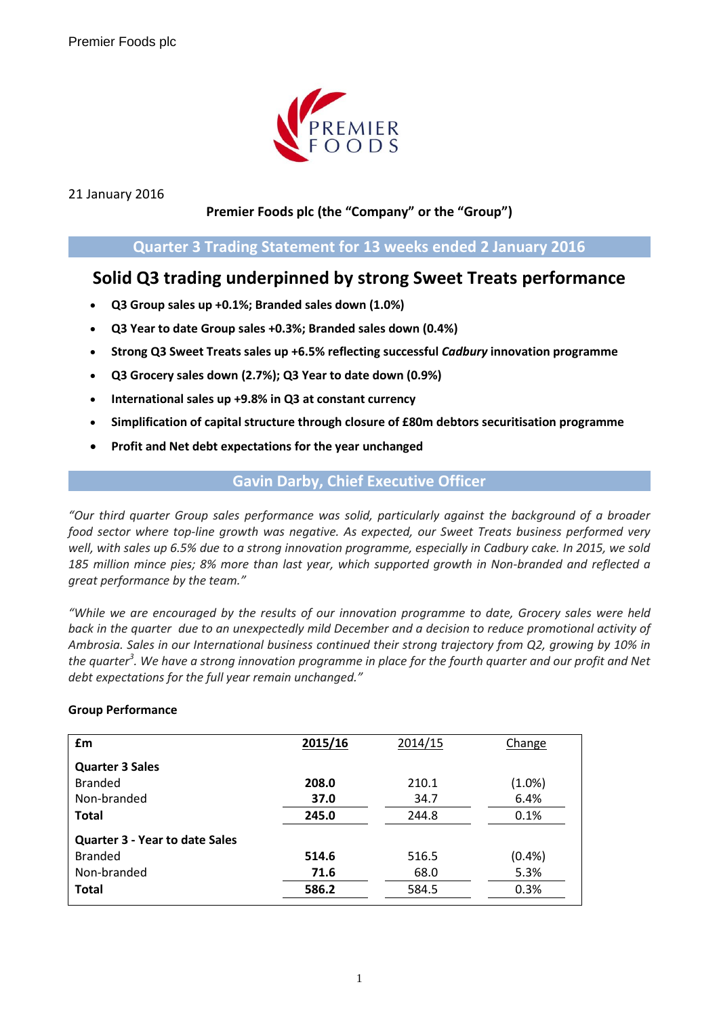

21 January 2016

## **Premier Foods plc (the "Company" or the "Group")**

# **Quarter 3 Trading Statement for 13 weeks ended 2 January 2016**

# **Solid Q3 trading underpinned by strong Sweet Treats performance**

- **Q3 Group sales up +0.1%; Branded sales down (1.0%)**
- **Q3 Year to date Group sales +0.3%; Branded sales down (0.4%)**
- **Strong Q3 Sweet Treats sales up +6.5% reflecting successful** *Cadbury* **innovation programme**
- **Q3 Grocery sales down (2.7%); Q3 Year to date down (0.9%)**
- **International sales up +9.8% in Q3 at constant currency**
- **Simplification of capital structure through closure of £80m debtors securitisation programme**
- **Profit and Net debt expectations for the year unchanged**

## **Gavin Darby, Chief Executive Officer**

*"Our third quarter Group sales performance was solid, particularly against the background of a broader food sector where top-line growth was negative. As expected, our Sweet Treats business performed very well, with sales up 6.5% due to a strong innovation programme, especially in Cadbury cake. In 2015, we sold 185 million mince pies; 8% more than last year, which supported growth in Non-branded and reflected a great performance by the team."*

*"While we are encouraged by the results of our innovation programme to date, Grocery sales were held back in the quarter due to an unexpectedly mild December and a decision to reduce promotional activity of Ambrosia. Sales in our International business continued their strong trajectory from Q2, growing by 10% in the quarter<sup>3</sup> . We have a strong innovation programme in place for the fourth quarter and our profit and Net debt expectations for the full year remain unchanged."*

| £m                                    | 2015/16 | 2014/15 | Change  |
|---------------------------------------|---------|---------|---------|
| <b>Quarter 3 Sales</b>                |         |         |         |
| <b>Branded</b>                        | 208.0   | 210.1   | (1.0%)  |
| Non-branded                           | 37.0    | 34.7    | 6.4%    |
| <b>Total</b>                          | 245.0   | 244.8   | 0.1%    |
| <b>Quarter 3 - Year to date Sales</b> |         |         |         |
| <b>Branded</b>                        | 514.6   | 516.5   | (0.4% ) |
| Non-branded                           | 71.6    | 68.0    | 5.3%    |
| <b>Total</b>                          | 586.2   | 584.5   | 0.3%    |
|                                       |         |         |         |

## **Group Performance**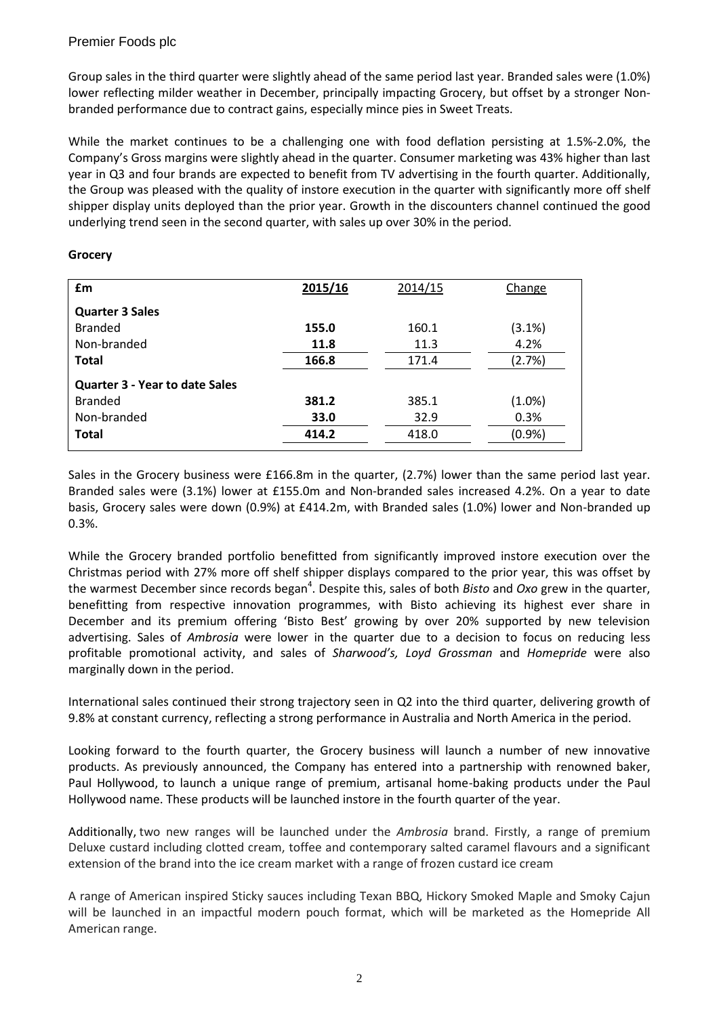Group sales in the third quarter were slightly ahead of the same period last year. Branded sales were (1.0%) lower reflecting milder weather in December, principally impacting Grocery, but offset by a stronger Nonbranded performance due to contract gains, especially mince pies in Sweet Treats.

While the market continues to be a challenging one with food deflation persisting at 1.5%-2.0%, the Company's Gross margins were slightly ahead in the quarter. Consumer marketing was 43% higher than last year in Q3 and four brands are expected to benefit from TV advertising in the fourth quarter. Additionally, the Group was pleased with the quality of instore execution in the quarter with significantly more off shelf shipper display units deployed than the prior year. Growth in the discounters channel continued the good underlying trend seen in the second quarter, with sales up over 30% in the period.

| £m                                    | 2015/16 | 2014/15 | Change    |
|---------------------------------------|---------|---------|-----------|
| <b>Quarter 3 Sales</b>                |         |         |           |
| <b>Branded</b>                        | 155.0   | 160.1   | $(3.1\%)$ |
| Non-branded                           | 11.8    | 11.3    | 4.2%      |
| <b>Total</b>                          | 166.8   | 171.4   | (2.7%)    |
|                                       |         |         |           |
| <b>Quarter 3 - Year to date Sales</b> |         |         |           |
| <b>Branded</b>                        | 381.2   | 385.1   | $(1.0\%)$ |
| Non-branded                           | 33.0    | 32.9    | 0.3%      |
| <b>Total</b>                          | 414.2   | 418.0   | (0.9%     |
|                                       |         |         |           |

## **Grocery**

Sales in the Grocery business were £166.8m in the quarter, (2.7%) lower than the same period last year. Branded sales were (3.1%) lower at £155.0m and Non-branded sales increased 4.2%. On a year to date basis, Grocery sales were down (0.9%) at £414.2m, with Branded sales (1.0%) lower and Non-branded up 0.3%.

While the Grocery branded portfolio benefitted from significantly improved instore execution over the Christmas period with 27% more off shelf shipper displays compared to the prior year, this was offset by the warmest December since records began<sup>4</sup>. Despite this, sales of both *Bisto* and *Oxo* grew in the quarter, benefitting from respective innovation programmes, with Bisto achieving its highest ever share in December and its premium offering 'Bisto Best' growing by over 20% supported by new television advertising. Sales of *Ambrosia* were lower in the quarter due to a decision to focus on reducing less profitable promotional activity, and sales of *Sharwood's, Loyd Grossman* and *Homepride* were also marginally down in the period.

International sales continued their strong trajectory seen in Q2 into the third quarter, delivering growth of 9.8% at constant currency, reflecting a strong performance in Australia and North America in the period.

Looking forward to the fourth quarter, the Grocery business will launch a number of new innovative products. As previously announced, the Company has entered into a partnership with renowned baker, Paul Hollywood, to launch a unique range of premium, artisanal home-baking products under the Paul Hollywood name. These products will be launched instore in the fourth quarter of the year.

Additionally, two new ranges will be launched under the *Ambrosia* brand. Firstly, a range of premium Deluxe custard including clotted cream, toffee and contemporary salted caramel flavours and a significant extension of the brand into the ice cream market with a range of frozen custard ice cream

A range of American inspired Sticky sauces including Texan BBQ, Hickory Smoked Maple and Smoky Cajun will be launched in an impactful modern pouch format, which will be marketed as the Homepride All American range.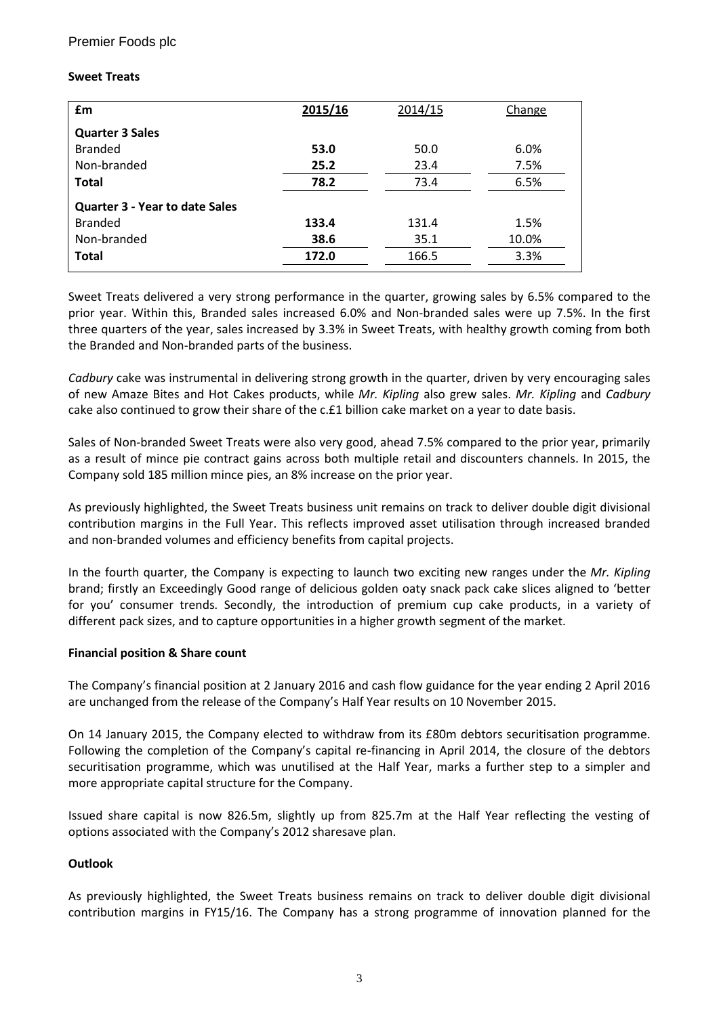#### Premier Foods plc

## **Sweet Treats**

| £m                                    | 2015/16 | 2014/15 | Change |
|---------------------------------------|---------|---------|--------|
| <b>Quarter 3 Sales</b>                |         |         |        |
| <b>Branded</b>                        | 53.0    | 50.0    | 6.0%   |
| Non-branded                           | 25.2    | 23.4    | 7.5%   |
| <b>Total</b>                          | 78.2    | 73.4    | 6.5%   |
| <b>Quarter 3 - Year to date Sales</b> |         |         |        |
| <b>Branded</b>                        | 133.4   | 131.4   | 1.5%   |
| Non-branded                           | 38.6    | 35.1    | 10.0%  |
| <b>Total</b>                          | 172.0   | 166.5   | 3.3%   |
|                                       |         |         |        |

Sweet Treats delivered a very strong performance in the quarter, growing sales by 6.5% compared to the prior year. Within this, Branded sales increased 6.0% and Non-branded sales were up 7.5%. In the first three quarters of the year, sales increased by 3.3% in Sweet Treats, with healthy growth coming from both the Branded and Non-branded parts of the business.

*Cadbury* cake was instrumental in delivering strong growth in the quarter, driven by very encouraging sales of new Amaze Bites and Hot Cakes products, while *Mr. Kipling* also grew sales. *Mr. Kipling* and *Cadbury* cake also continued to grow their share of the c.£1 billion cake market on a year to date basis.

Sales of Non-branded Sweet Treats were also very good, ahead 7.5% compared to the prior year, primarily as a result of mince pie contract gains across both multiple retail and discounters channels. In 2015, the Company sold 185 million mince pies, an 8% increase on the prior year.

As previously highlighted, the Sweet Treats business unit remains on track to deliver double digit divisional contribution margins in the Full Year. This reflects improved asset utilisation through increased branded and non-branded volumes and efficiency benefits from capital projects.

In the fourth quarter, the Company is expecting to launch two exciting new ranges under the *Mr. Kipling* brand; firstly an Exceedingly Good range of delicious golden oaty snack pack cake slices aligned to 'better for you' consumer trends. Secondly, the introduction of premium cup cake products, in a variety of different pack sizes, and to capture opportunities in a higher growth segment of the market.

#### **Financial position & Share count**

The Company's financial position at 2 January 2016 and cash flow guidance for the year ending 2 April 2016 are unchanged from the release of the Company's Half Year results on 10 November 2015.

On 14 January 2015, the Company elected to withdraw from its £80m debtors securitisation programme. Following the completion of the Company's capital re-financing in April 2014, the closure of the debtors securitisation programme, which was unutilised at the Half Year, marks a further step to a simpler and more appropriate capital structure for the Company.

Issued share capital is now 826.5m, slightly up from 825.7m at the Half Year reflecting the vesting of options associated with the Company's 2012 sharesave plan.

#### **Outlook**

As previously highlighted, the Sweet Treats business remains on track to deliver double digit divisional contribution margins in FY15/16. The Company has a strong programme of innovation planned for the